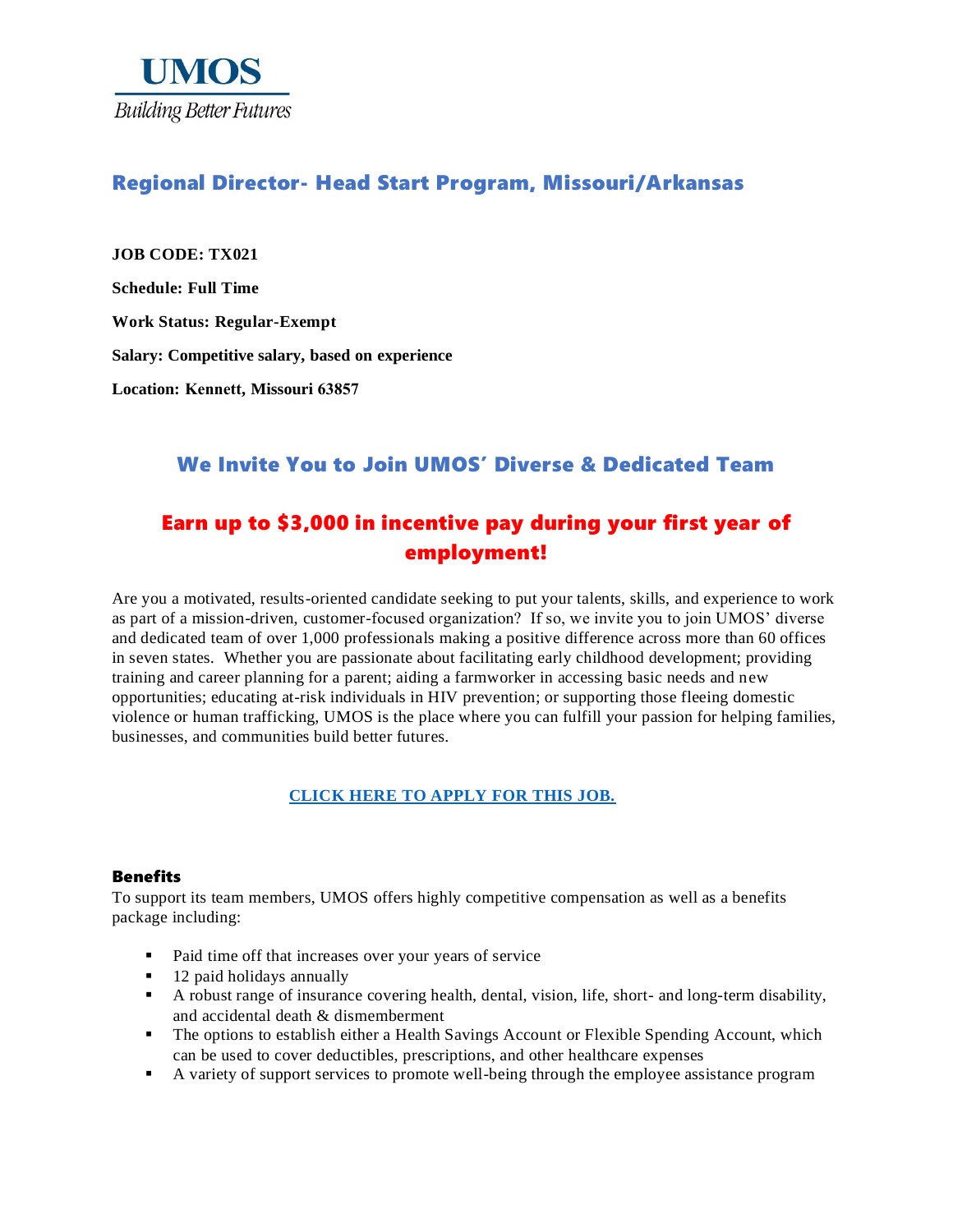

## Regional Director- Head Start Program, Missouri/Arkansas

**JOB CODE: TX021 Schedule: Full Time Work Status: Regular-Exempt Salary: Competitive salary, based on experience Location: Kennett, Missouri 63857**

### We Invite You to Join UMOS' Diverse & Dedicated Team

## Earn up to \$3,000 in incentive pay during your first year of employment!

Are you a motivated, results-oriented candidate seeking to put your talents, skills, and experience to work as part of a mission-driven, customer-focused organization? If so, we invite you to join UMOS' diverse and dedicated team of over 1,000 professionals making a positive difference across more than 60 offices in seven states. Whether you are passionate about facilitating early childhood development; providing training and career planning for a parent; aiding a farmworker in accessing basic needs and new opportunities; educating at-risk individuals in HIV prevention; or supporting those fleeing domestic violence or human trafficking, UMOS is the place where you can fulfill your passion for helping families, businesses, and communities build better futures.

### **[CLICK HERE TO APPLY FOR THIS JOB.](https://www.umos.org/job-application/)**

### Benefits

To support its team members, UMOS offers highly competitive compensation as well as a benefits package including:

- Paid time off that increases over your years of service
- 12 paid holidays annually
- A robust range of insurance covering health, dental, vision, life, short- and long-term disability, and accidental death & dismemberment
- **•** The options to establish either a Health Savings Account or Flexible Spending Account, which can be used to cover deductibles, prescriptions, and other healthcare expenses
- A variety of support services to promote well-being through the employee assistance program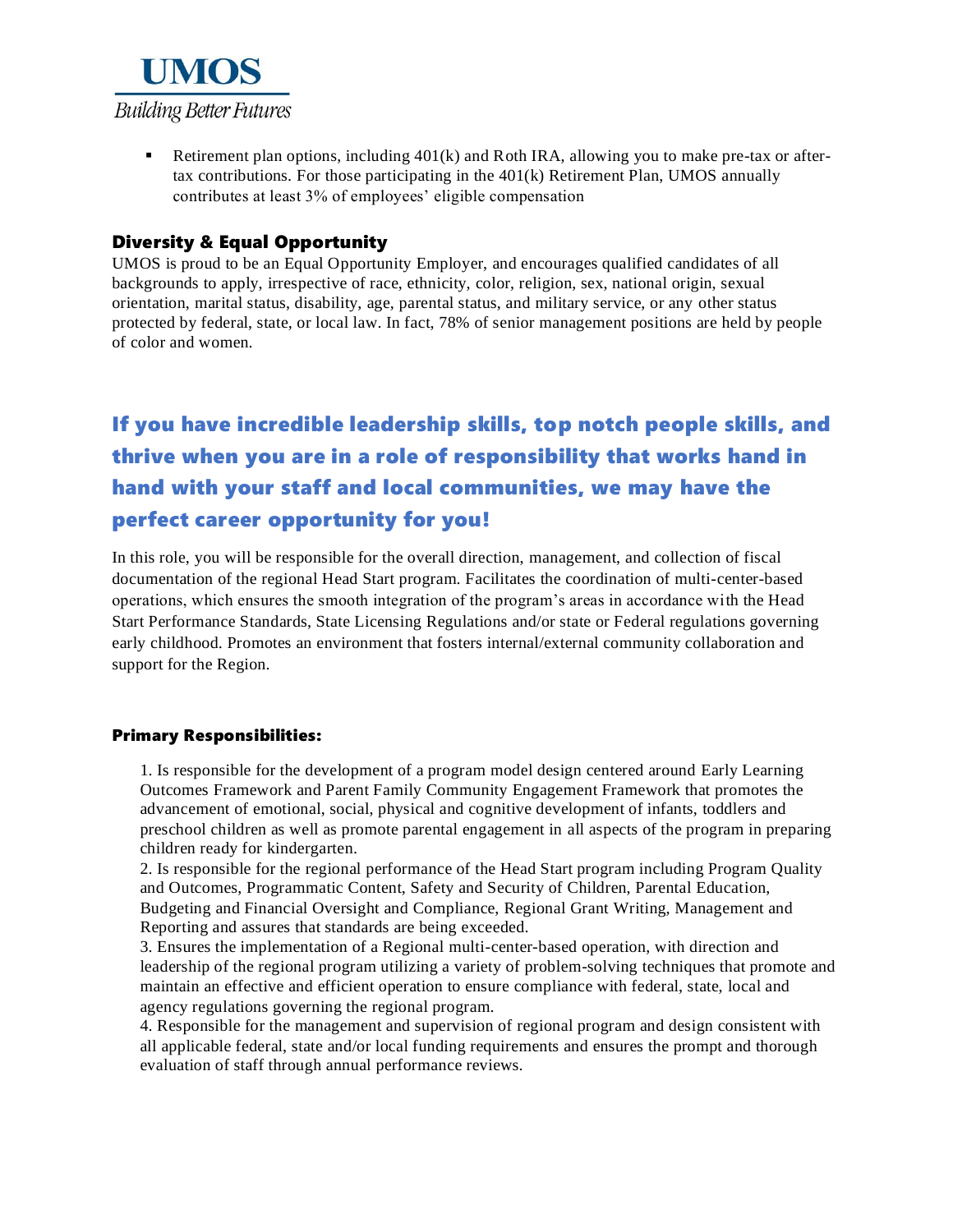

Exterment plan options, including  $401(k)$  and Roth IRA, allowing you to make pre-tax or aftertax contributions. For those participating in the 401(k) Retirement Plan, UMOS annually contributes at least 3% of employees' eligible compensation

### Diversity & Equal Opportunity

UMOS is proud to be an Equal Opportunity Employer, and encourages qualified candidates of all backgrounds to apply, irrespective of race, ethnicity, color, religion, sex, national origin, sexual orientation, marital status, disability, age, parental status, and military service, or any other status protected by federal, state, or local law. In fact, 78% of senior management positions are held by people of color and women.

# If you have incredible leadership skills, top notch people skills, and thrive when you are in a role of responsibility that works hand in hand with your staff and local communities, we may have the perfect career opportunity for you!

In this role, you will be responsible for the overall direction, management, and collection of fiscal documentation of the regional Head Start program. Facilitates the coordination of multi-center-based operations, which ensures the smooth integration of the program's areas in accordance with the Head Start Performance Standards, State Licensing Regulations and/or state or Federal regulations governing early childhood. Promotes an environment that fosters internal/external community collaboration and support for the Region.

### Primary Responsibilities:

1. Is responsible for the development of a program model design centered around Early Learning Outcomes Framework and Parent Family Community Engagement Framework that promotes the advancement of emotional, social, physical and cognitive development of infants, toddlers and preschool children as well as promote parental engagement in all aspects of the program in preparing children ready for kindergarten.

2. Is responsible for the regional performance of the Head Start program including Program Quality and Outcomes, Programmatic Content, Safety and Security of Children, Parental Education, Budgeting and Financial Oversight and Compliance, Regional Grant Writing, Management and Reporting and assures that standards are being exceeded.

3. Ensures the implementation of a Regional multi-center-based operation, with direction and leadership of the regional program utilizing a variety of problem-solving techniques that promote and maintain an effective and efficient operation to ensure compliance with federal, state, local and agency regulations governing the regional program.

4. Responsible for the management and supervision of regional program and design consistent with all applicable federal, state and/or local funding requirements and ensures the prompt and thorough evaluation of staff through annual performance reviews.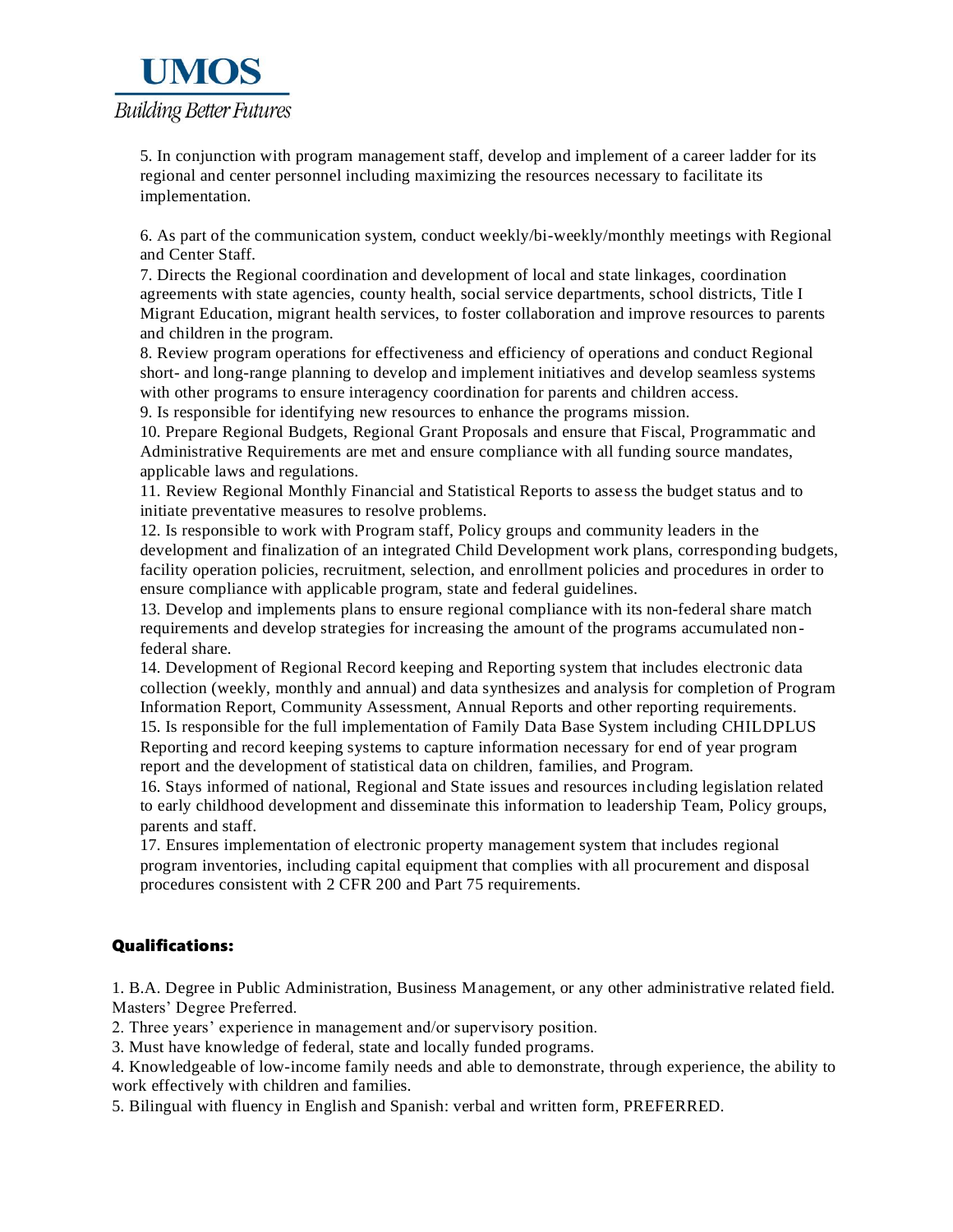

5. In conjunction with program management staff, develop and implement of a career ladder for its regional and center personnel including maximizing the resources necessary to facilitate its implementation.

6. As part of the communication system, conduct weekly/bi-weekly/monthly meetings with Regional and Center Staff.

7. Directs the Regional coordination and development of local and state linkages, coordination agreements with state agencies, county health, social service departments, school districts, Title I Migrant Education, migrant health services, to foster collaboration and improve resources to parents and children in the program.

8. Review program operations for effectiveness and efficiency of operations and conduct Regional short- and long-range planning to develop and implement initiatives and develop seamless systems with other programs to ensure interagency coordination for parents and children access.

9. Is responsible for identifying new resources to enhance the programs mission.

10. Prepare Regional Budgets, Regional Grant Proposals and ensure that Fiscal, Programmatic and Administrative Requirements are met and ensure compliance with all funding source mandates, applicable laws and regulations.

11. Review Regional Monthly Financial and Statistical Reports to assess the budget status and to initiate preventative measures to resolve problems.

12. Is responsible to work with Program staff, Policy groups and community leaders in the development and finalization of an integrated Child Development work plans, corresponding budgets, facility operation policies, recruitment, selection, and enrollment policies and procedures in order to ensure compliance with applicable program, state and federal guidelines.

13. Develop and implements plans to ensure regional compliance with its non-federal share match requirements and develop strategies for increasing the amount of the programs accumulated nonfederal share.

14. Development of Regional Record keeping and Reporting system that includes electronic data collection (weekly, monthly and annual) and data synthesizes and analysis for completion of Program Information Report, Community Assessment, Annual Reports and other reporting requirements. 15. Is responsible for the full implementation of Family Data Base System including CHILDPLUS Reporting and record keeping systems to capture information necessary for end of year program report and the development of statistical data on children, families, and Program.

16. Stays informed of national, Regional and State issues and resources including legislation related to early childhood development and disseminate this information to leadership Team, Policy groups, parents and staff.

17. Ensures implementation of electronic property management system that includes regional program inventories, including capital equipment that complies with all procurement and disposal procedures consistent with 2 CFR 200 and Part 75 requirements.

### Qualifications:

1. B.A. Degree in Public Administration, Business Management, or any other administrative related field. Masters' Degree Preferred.

2. Three years' experience in management and/or supervisory position.

3. Must have knowledge of federal, state and locally funded programs.

4. Knowledgeable of low-income family needs and able to demonstrate, through experience, the ability to work effectively with children and families.

5. Bilingual with fluency in English and Spanish: verbal and written form, PREFERRED.